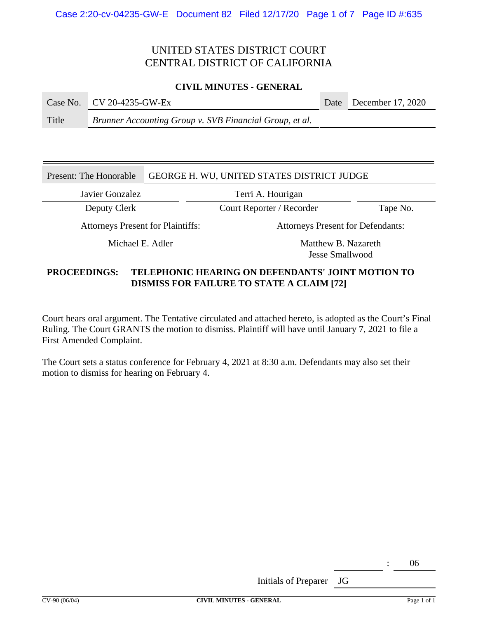# UNITED STATES DISTRICT COURT CENTRAL DISTRICT OF CALIFORNIA

### **CIVIL MINUTES - GENERAL**

|  |  | Case No.   CV 20-4235-GW-Ex |  | Date December 17, 2020 |
|--|--|-----------------------------|--|------------------------|
|--|--|-----------------------------|--|------------------------|

Title *Brunner Accounting Group v. SVB Financial Group, et al.*

## Present: The Honorable GEORGE H. WU, UNITED STATES DISTRICT JUDGE

Javier Gonzalez Terri A. Hourigan

Deputy Clerk Court Reporter / Recorder Tape No.

Attorneys Present for Plaintiffs: Attorneys Present for Defendants:

Michael E. Adler Matthew B. Nazareth Jesse Smallwood

# **PROCEEDINGS: TELEPHONIC HEARING ON DEFENDANTS' JOINT MOTION TO DISMISS FOR FAILURE TO STATE A CLAIM [72]**

Court hears oral argument. The Tentative circulated and attached hereto, is adopted as the Court's Final Ruling. The Court GRANTS the motion to dismiss. Plaintiff will have until January 7, 2021 to file a First Amended Complaint.

The Court sets a status conference for February 4, 2021 at 8:30 a.m. Defendants may also set their motion to dismiss for hearing on February 4.

: 06

Initials of Preparer JG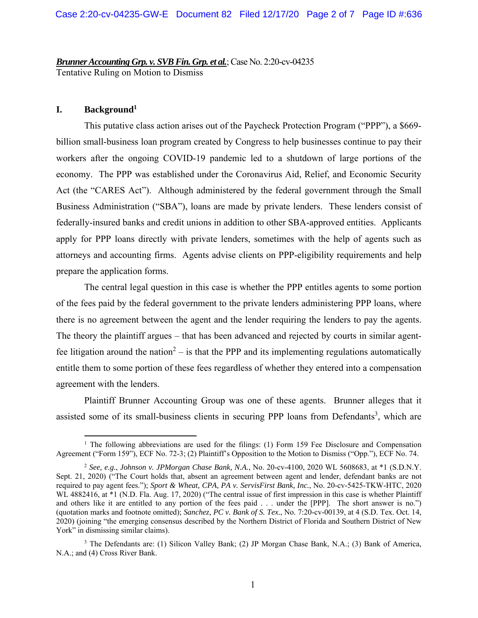*Brunner Accounting Grp. v. SVB Fin. Grp. et al.*; Case No. 2:20-cv-04235 Tentative Ruling on Motion to Dismiss

## **I. Background1**

This putative class action arises out of the Paycheck Protection Program ("PPP"), a \$669 billion small-business loan program created by Congress to help businesses continue to pay their workers after the ongoing COVID-19 pandemic led to a shutdown of large portions of the economy. The PPP was established under the Coronavirus Aid, Relief, and Economic Security Act (the "CARES Act"). Although administered by the federal government through the Small Business Administration ("SBA"), loans are made by private lenders. These lenders consist of federally-insured banks and credit unions in addition to other SBA-approved entities. Applicants apply for PPP loans directly with private lenders, sometimes with the help of agents such as attorneys and accounting firms. Agents advise clients on PPP-eligibility requirements and help prepare the application forms.

The central legal question in this case is whether the PPP entitles agents to some portion of the fees paid by the federal government to the private lenders administering PPP loans, where there is no agreement between the agent and the lender requiring the lenders to pay the agents. The theory the plaintiff argues – that has been advanced and rejected by courts in similar agentfee litigation around the nation<sup>2</sup> – is that the PPP and its implementing regulations automatically entitle them to some portion of these fees regardless of whether they entered into a compensation agreement with the lenders.

Plaintiff Brunner Accounting Group was one of these agents. Brunner alleges that it assisted some of its small-business clients in securing PPP loans from Defendants<sup>3</sup>, which are

<sup>&</sup>lt;sup>1</sup> The following abbreviations are used for the filings: (1) Form 159 Fee Disclosure and Compensation Agreement ("Form 159"), ECF No. 72-3; (2) Plaintiff's Opposition to the Motion to Dismiss ("Opp."), ECF No. 74.

<sup>2</sup> *See, e.g.*, *Johnson v. JPMorgan Chase Bank, N.A.*, No. 20-cv-4100, 2020 WL 5608683, at \*1 (S.D.N.Y. Sept. 21, 2020) ("The Court holds that, absent an agreement between agent and lender, defendant banks are not required to pay agent fees."); *Sport & Wheat, CPA, PA v. ServisFirst Bank, Inc.*, No. 20-cv-5425-TKW-HTC, 2020 WL 4882416, at \*1 (N.D. Fla. Aug. 17, 2020) ("The central issue of first impression in this case is whether Plaintiff and others like it are entitled to any portion of the fees paid . . . under the [PPP]. The short answer is no.") (quotation marks and footnote omitted); *Sanchez, PC v. Bank of S. Tex.*, No. 7:20-cv-00139, at 4 (S.D. Tex. Oct. 14, 2020) (joining "the emerging consensus described by the Northern District of Florida and Southern District of New York" in dismissing similar claims).

<sup>&</sup>lt;sup>3</sup> The Defendants are: (1) Silicon Valley Bank; (2) JP Morgan Chase Bank, N.A.; (3) Bank of America, N.A.; and (4) Cross River Bank.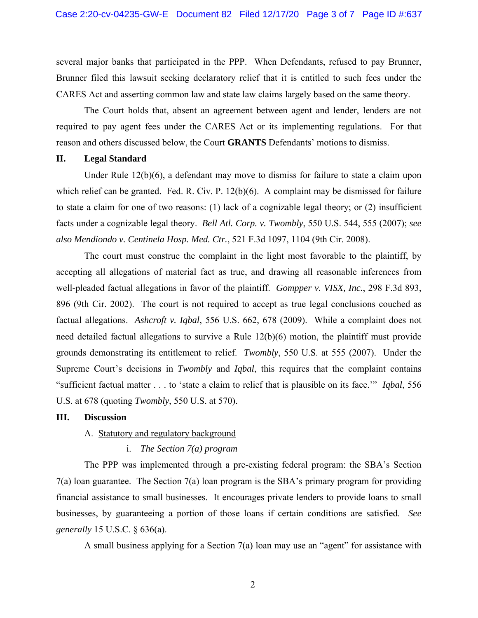several major banks that participated in the PPP. When Defendants, refused to pay Brunner, Brunner filed this lawsuit seeking declaratory relief that it is entitled to such fees under the CARES Act and asserting common law and state law claims largely based on the same theory.

The Court holds that, absent an agreement between agent and lender, lenders are not required to pay agent fees under the CARES Act or its implementing regulations. For that reason and others discussed below, the Court **GRANTS** Defendants' motions to dismiss.

### **II. Legal Standard**

Under Rule 12(b)(6), a defendant may move to dismiss for failure to state a claim upon which relief can be granted. Fed. R. Civ. P. 12(b)(6). A complaint may be dismissed for failure to state a claim for one of two reasons: (1) lack of a cognizable legal theory; or (2) insufficient facts under a cognizable legal theory. *Bell Atl. Corp. v. Twombly*, 550 U.S. 544, 555 (2007); *see also Mendiondo v. Centinela Hosp. Med. Ctr.*, 521 F.3d 1097, 1104 (9th Cir. 2008).

The court must construe the complaint in the light most favorable to the plaintiff, by accepting all allegations of material fact as true, and drawing all reasonable inferences from well-pleaded factual allegations in favor of the plaintiff. *Gompper v. VISX, Inc.*, 298 F.3d 893, 896 (9th Cir. 2002). The court is not required to accept as true legal conclusions couched as factual allegations. *Ashcroft v. Iqbal*, 556 U.S. 662, 678 (2009). While a complaint does not need detailed factual allegations to survive a Rule 12(b)(6) motion, the plaintiff must provide grounds demonstrating its entitlement to relief. *Twombly*, 550 U.S. at 555 (2007). Under the Supreme Court's decisions in *Twombly* and *Iqbal*, this requires that the complaint contains "sufficient factual matter . . . to 'state a claim to relief that is plausible on its face.'" *Iqbal*, 556 U.S. at 678 (quoting *Twombly*, 550 U.S. at 570).

#### **III. Discussion**

## A. Statutory and regulatory background

### i. *The Section 7(a) program*

The PPP was implemented through a pre-existing federal program: the SBA's Section 7(a) loan guarantee. The Section 7(a) loan program is the SBA's primary program for providing financial assistance to small businesses. It encourages private lenders to provide loans to small businesses, by guaranteeing a portion of those loans if certain conditions are satisfied. *See generally* 15 U.S.C. § 636(a).

A small business applying for a Section 7(a) loan may use an "agent" for assistance with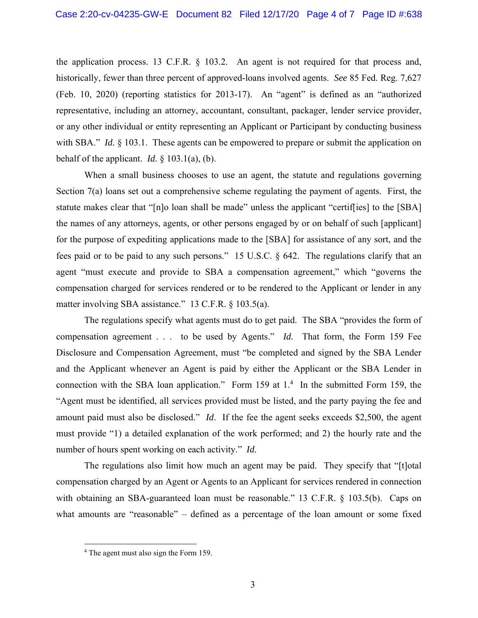the application process. 13 C.F.R. § 103.2. An agent is not required for that process and, historically, fewer than three percent of approved-loans involved agents. *See* 85 Fed. Reg. 7,627 (Feb. 10, 2020) (reporting statistics for 2013-17). An "agent" is defined as an "authorized representative, including an attorney, accountant, consultant, packager, lender service provider, or any other individual or entity representing an Applicant or Participant by conducting business with SBA." *Id.* § 103.1. These agents can be empowered to prepare or submit the application on behalf of the applicant. *Id.* § 103.1(a), (b).

When a small business chooses to use an agent, the statute and regulations governing Section 7(a) loans set out a comprehensive scheme regulating the payment of agents. First, the statute makes clear that "[n]o loan shall be made" unless the applicant "certif[ies] to the [SBA] the names of any attorneys, agents, or other persons engaged by or on behalf of such [applicant] for the purpose of expediting applications made to the [SBA] for assistance of any sort, and the fees paid or to be paid to any such persons." 15 U.S.C. § 642. The regulations clarify that an agent "must execute and provide to SBA a compensation agreement," which "governs the compensation charged for services rendered or to be rendered to the Applicant or lender in any matter involving SBA assistance." 13 C.F.R. § 103.5(a).

The regulations specify what agents must do to get paid. The SBA "provides the form of compensation agreement . . . to be used by Agents." *Id.* That form, the Form 159 Fee Disclosure and Compensation Agreement, must "be completed and signed by the SBA Lender and the Applicant whenever an Agent is paid by either the Applicant or the SBA Lender in connection with the SBA loan application." Form 159 at  $1<sup>4</sup>$  In the submitted Form 159, the "Agent must be identified, all services provided must be listed, and the party paying the fee and amount paid must also be disclosed." *Id*. If the fee the agent seeks exceeds \$2,500, the agent must provide "1) a detailed explanation of the work performed; and 2) the hourly rate and the number of hours spent working on each activity." *Id.*

The regulations also limit how much an agent may be paid. They specify that "[t]otal compensation charged by an Agent or Agents to an Applicant for services rendered in connection with obtaining an SBA-guaranteed loan must be reasonable." 13 C.F.R. § 103.5(b). Caps on what amounts are "reasonable" – defined as a percentage of the loan amount or some fixed

<sup>&</sup>lt;sup>4</sup> The agent must also sign the Form 159.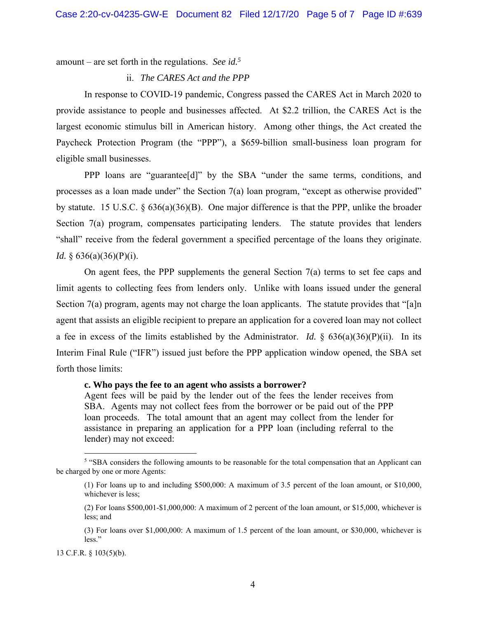amount – are set forth in the regulations. *See id.5*

#### ii. *The CARES Act and the PPP*

In response to COVID-19 pandemic, Congress passed the CARES Act in March 2020 to provide assistance to people and businesses affected. At \$2.2 trillion, the CARES Act is the largest economic stimulus bill in American history. Among other things, the Act created the Paycheck Protection Program (the "PPP"), a \$659-billion small-business loan program for eligible small businesses.

PPP loans are "guarantee[d]" by the SBA "under the same terms, conditions, and processes as a loan made under" the Section 7(a) loan program, "except as otherwise provided" by statute. 15 U.S.C. § 636(a)(36)(B). One major difference is that the PPP, unlike the broader Section 7(a) program, compensates participating lenders. The statute provides that lenders "shall" receive from the federal government a specified percentage of the loans they originate. *Id.* § 636(a)(36)(P)(i).

On agent fees, the PPP supplements the general Section 7(a) terms to set fee caps and limit agents to collecting fees from lenders only. Unlike with loans issued under the general Section 7(a) program, agents may not charge the loan applicants. The statute provides that "[a]n agent that assists an eligible recipient to prepare an application for a covered loan may not collect a fee in excess of the limits established by the Administrator. *Id.* § 636(a)(36)(P)(ii). In its Interim Final Rule ("IFR") issued just before the PPP application window opened, the SBA set forth those limits:

#### **c. Who pays the fee to an agent who assists a borrower?**

Agent fees will be paid by the lender out of the fees the lender receives from SBA. Agents may not collect fees from the borrower or be paid out of the PPP loan proceeds. The total amount that an agent may collect from the lender for assistance in preparing an application for a PPP loan (including referral to the lender) may not exceed:

<sup>&</sup>lt;sup>5</sup> "SBA considers the following amounts to be reasonable for the total compensation that an Applicant can be charged by one or more Agents:

<sup>(1)</sup> For loans up to and including \$500,000: A maximum of 3.5 percent of the loan amount, or \$10,000, whichever is less;

<sup>(2)</sup> For loans \$500,001-\$1,000,000: A maximum of 2 percent of the loan amount, or \$15,000, whichever is less; and

<sup>(3)</sup> For loans over \$1,000,000: A maximum of 1.5 percent of the loan amount, or \$30,000, whichever is less."

<sup>13</sup> C.F.R. § 103(5)(b).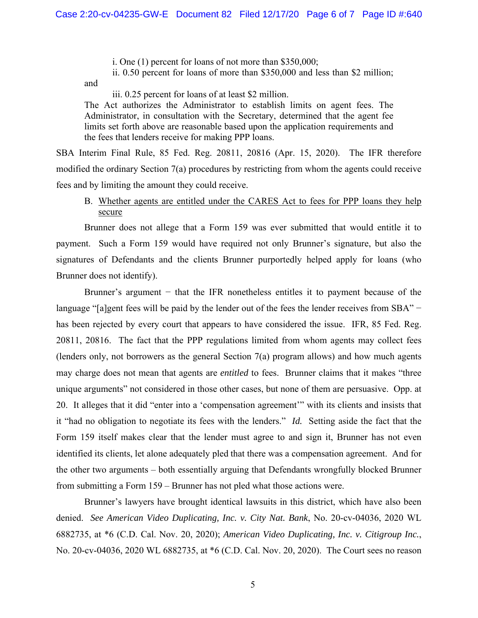i. One (1) percent for loans of not more than \$350,000;

ii. 0.50 percent for loans of more than \$350,000 and less than \$2 million;

and

iii. 0.25 percent for loans of at least \$2 million.

The Act authorizes the Administrator to establish limits on agent fees. The Administrator, in consultation with the Secretary, determined that the agent fee limits set forth above are reasonable based upon the application requirements and the fees that lenders receive for making PPP loans.

SBA Interim Final Rule, 85 Fed. Reg. 20811, 20816 (Apr. 15, 2020). The IFR therefore modified the ordinary Section 7(a) procedures by restricting from whom the agents could receive fees and by limiting the amount they could receive.

# B. Whether agents are entitled under the CARES Act to fees for PPP loans they help secure

Brunner does not allege that a Form 159 was ever submitted that would entitle it to payment. Such a Form 159 would have required not only Brunner's signature, but also the signatures of Defendants and the clients Brunner purportedly helped apply for loans (who Brunner does not identify).

Brunner's argument − that the IFR nonetheless entitles it to payment because of the language "[a]gent fees will be paid by the lender out of the fees the lender receives from SBA" − has been rejected by every court that appears to have considered the issue. IFR, 85 Fed. Reg. 20811, 20816. The fact that the PPP regulations limited from whom agents may collect fees (lenders only, not borrowers as the general Section 7(a) program allows) and how much agents may charge does not mean that agents are *entitled* to fees. Brunner claims that it makes "three unique arguments" not considered in those other cases, but none of them are persuasive. Opp. at 20. It alleges that it did "enter into a 'compensation agreement'" with its clients and insists that it "had no obligation to negotiate its fees with the lenders." *Id.* Setting aside the fact that the Form 159 itself makes clear that the lender must agree to and sign it, Brunner has not even identified its clients, let alone adequately pled that there was a compensation agreement. And for the other two arguments – both essentially arguing that Defendants wrongfully blocked Brunner from submitting a Form 159 – Brunner has not pled what those actions were.

Brunner's lawyers have brought identical lawsuits in this district, which have also been denied. *See American Video Duplicating, Inc. v. City Nat. Bank*, No. 20-cv-04036, 2020 WL 6882735, at \*6 (C.D. Cal. Nov. 20, 2020); *American Video Duplicating, Inc. v. Citigroup Inc.*, No. 20-cv-04036, 2020 WL 6882735, at \*6 (C.D. Cal. Nov. 20, 2020). The Court sees no reason